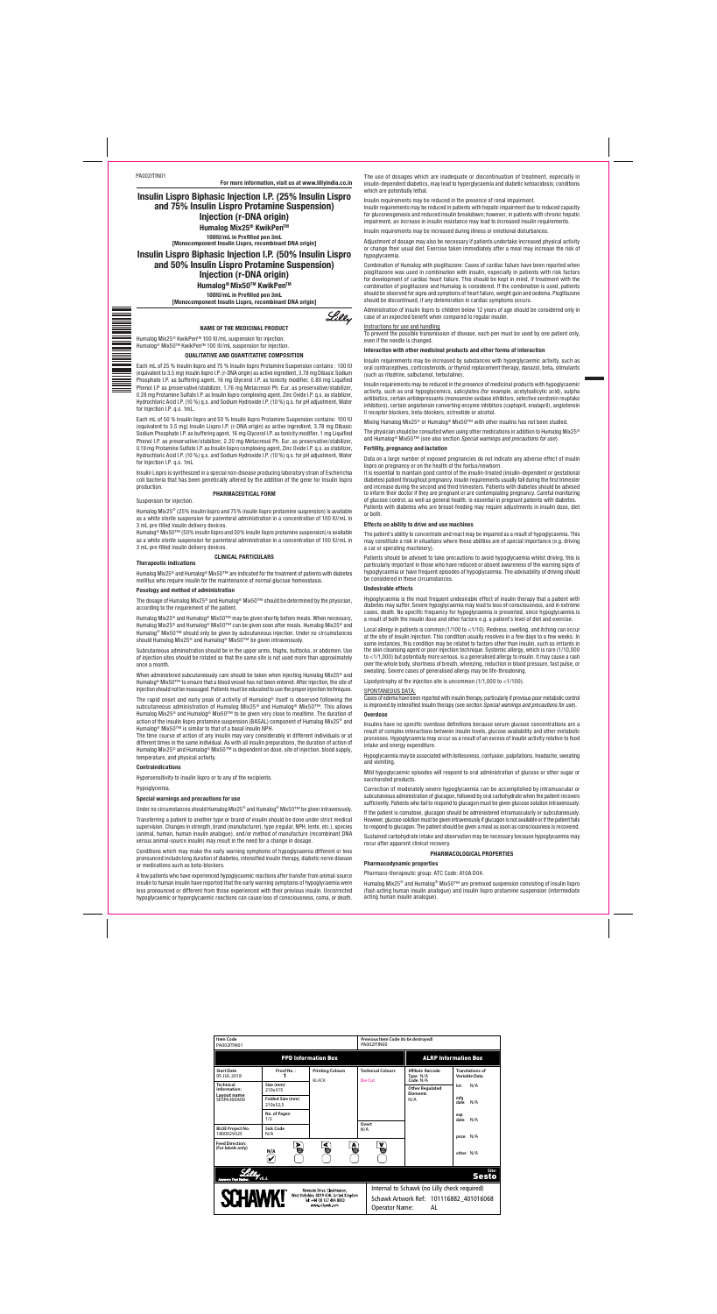PA002ITIN01

**For more information, visit us at www.lillyindia.co.in**

**Insulin Lispro Biphasic Injection I.P. (25% Insulin Lispro and 75% Insulin Lispro Protamine Suspension) Injection (r-DNA origin) Humalog Mix25® KwikPenTM**

**100IU/mL in Prefilled pen 3mL [Monocomponent Insulin Lispro, recombinant DNA origin]**

Each mL of 25 % Insulin lispro and 75 % Insulin lispro Protamine Suspension contains : 100 IU (equivalent to 3.5 mg) Insulin lispro I.P. (r-DNA origin) as active ingredient, 3.78 mg Dibasic Sodium Phosphate I.P. as buffering agent, 16 mg Glycerol I.P. as tonicity modifier, 0.80 mg Liquified Phenol I.P as preservative/stabilizer, 1.76 mg Metacresol Ph. Eur. as preservative/stabilizer, 0.28 mg Protamine Sulfate I.P. as Insulin lispro complexing agent, Zinc Oxide I.P. q.s. as stabilizer, Hydrochloric Acid I.P. (10 %) q.s. and Sodium Hydroxide I.P. (10 %) q.s. for pH adjustment, Water for Injection I.P. a.s. 1mL

# **Insulin Lispro Biphasic Injection I.P. (50% Insulin Lispro and 50% Insulin Lispro Protamine Suspension) Injection (r-DNA origin)**

**Humalog® Mix50TM KwikPenTM**

**100IU/mL in Prefilled pen 3mL [Monocomponent Insulin Lispro, recombinant DNA origin]**

Lilly

# **NAME OF THE MEDICINAL PRODUCT**

Humalog Mix25<sup>®</sup> KwikPen™ 100 IU/mL suspension for injection. Humalog<sup>®</sup> Mix50™ KwikPen™ 100 IU/mL suspension for injection.

#### **QUALITATIVE AND QUANTITATIVE COMPOSITION**

Each mL of 50 % Insulin lispro and 50 % Insulin lispro Protamine Suspension contains: 100 IU (equivalent to 3.5 mg) Insulin Lispro I.P. (r-DNA origin) as active ingredient, 3.78 mg Dibasic Sodium Phosphate I.P. as buffering agent, 16 mg Glycerol I.P. as tonicity modifier, 1 mg Liquified Phenol I.P. as preservative/stabilizer, 2.20 mg Metacresol Ph. Eur. as preservative/stabilizer, 0.19 mg Protamine Sulfate I.P. as Insulin lispro complexing agent, Zinc Oxide I.P. q.s. as stabilizer, Hydrochloric Acid I.P. (10 %) q.s. and Sodium Hydroxide I.P. (10 %) q.s. for pH adjustment, Water for Injection I.P. q.s. 1mL

Insulin Lispro is synthesized in a special non-disease producing laboratory strain of Escherichia coli bacteria that has been genetically altered by the addition of the gene for Insulin lispro production.

The time course of action of any insulin may vary considerably in different individuals or at different times in the same individual. As with all insulin preparations, the duration of action of Humalog Mix25® and Humalog® Mix50™ is dependent on dose, site of injection, blood supply, te and physical activity.

## **PHARMACEUTICAL FORM**

# Suspension for injection.

Humalog Mix25® (25% insulin lispro and 75% insulin lispro protamine suspension) is available as a white sterile suspension for parenteral administration in a concentration of 100 IU/mL in 3 mL pre-filled insulin delivery devices.

Humalog® Mix50™ (50% insulin lispro and 50% insulin lispro protamine suspension) is available as a white sterile suspension for parenteral administration in a concentration of 100 IU/mL in 3 mL pre-filled insulin delivery devices.

#### **CLINICAL PARTICULARS Therapeutic indications**

Humalog Mix25® and Humalog® Mix50™ are indicated for the treatment of patients with diabetes mellitus who require insulin for the maintenance of normal glucose homeostasis.

#### **Posology and method of administration**

The dosage of Humalog Mix25® and Humalog® Mix50™ should be determined by the physician, according to the requirement of the patient.

Humalog Mix25® and Humalog® Mix50™ may be given shortly before meals. When necessary, Humalog Mix25® and Humalog® Mix50™ can be given soon after meals. Humalog Mix25® and Humalog® Mix50™ should only be given by subcutaneous injection. Under no circumstances should Humalog Mix25® and Humalog® Mix50™ be given intravenously.

Subcutaneous administration should be in the upper arms, thighs, buttocks, or abdomen. Use of injection sites should be rotated so that the same site is not used more than approximately once a month.

When administered subcutaneously care should be taken when injecting Humalog Mix25® and Humalog® Mix50™ to ensure that a blood vessel has not been entered. After injection, the site of injection should not be massaged. Patients must be educated to use the proper injection techniques.

The rapid onset and early peak of activity of Humalog® itself is observed following the subcutaneous administration of Humalog Mix25® and Humalog® Mix50™. This allows Humalog Mix25<sup>®</sup> and Humalog<sup>®</sup> Mix50™ to be given very close to mealtime. The duration of action of the insulin lispro protamine suspension (BASAL) component of Humalog Mix25® and Humalog® Mix50™ is similar to that of a basal insulin NPH.

Data on a large number of exposed pregnancies do not indicate any adverse effect of insulin lispro on pregnancy or on the health of the foetus/newborn.

#### **Contraindications**

Hypersensitivity to insulin lispro or to any of the excipients.

Hypoglycemia.

#### **Special warnings and precautions for use**

Under no circumstances should Humalog Mix25® and Humalog® Mix50™ be given intravenously.

Transferring a patient to another type or brand of insulin should be done under strict medical supervision. Changes in strength, brand (manufacturer), type (regular, NPH, lente, etc.), species (animal, human, human insulin analogue), and/or method of manufacture (recombinant DNA versus animal-source insulin) may result in the need for a change in dosage.

Conditions which may make the early warning symptoms of hypoglycaemia different or less pronounced include long duration of diabetes, intensified insulin therapy, diabetic nerve disease or medications such as beta-blockers.

A few patients who have experienced hypoglycaemic reactions after transfer from animal-source insulin to human insulin have reported that the early warning symptoms of hypoglycaemia were less pronounced or different from those experienced with their previous insulin. Uncorrected hypoglycaemic or hyperglycaemic reactions can cause loss of consciousness, coma, or death.

The use of dosages which are inadequate or discontinuation of treatment, especially in insulin-dependent diabetics, may lead to hyperglycaemia and diabetic ketoacidosis; conditions which are potentially lethal.

#### Insulin requirements may be reduced in the presence of renal impairment.

Insulin requirements may be reduced in patients with hepatic impairment due to reduced capacity for gluconeogenesis and reduced insulin breakdown; however, in patients with chronic hepatic impairment, an increase in insulin resistance may lead to increased insulin requirements.

Insulin requirements may be increased during illness or emotional disturbances.

Adjustment of dosage may also be necessary if patients undertake increased physical activity or change their usual diet. Exercise taken immediately after a meal may increase the risk of hypoglycaemia.

Combination of Humalog with pioglitazone: Cases of cardiac failure have been reported when pioglitazone was used in combination with insulin, especially in patients with risk factors for development of cardiac heart failure. This should be kept in mind, if treatment with the combination of pioglitazone and Humalog is considered. If the combination is used, patients should be observed for signs and symptoms of heart failure, weight gain and oedema. Pioglitazone should be discontinued, if any deterioration in cardiac symptoms occurs.

Administration of insulin lispro to children below 12 years of age should be considered only in case of an expected benefit when compared to regular insulin.

## Instructions for use and handling

To prevent the possible transmission of disease, each pen must be used by one patient only, even if the needle is changed.

**Interaction with other medicinal products and other forms of interaction**

Insulin requirements may be increased by substances with hyperglycaemic activity, such as oral contraceptives, corticosteroids, or thyroid replacement therapy, danazol, beta<sub>2</sub> stimulants (such as ritodrine, salbutamol, terbutaline).

Insulin requirements may be reduced in the presence of medicinal products with hypoglycaemic activity, such as oral hypoglycemics, salicylates (for example, acetylsalicylic acid), sulpha antibiotics, certain antidepressants (monoamine oxidase inhibitors, selective serotonin reuptake inhibitors), certain angiotensin converting enzyme inhibitors (captopril, enalapril), angiotensin II receptor blockers, beta-blockers, octreotide or alcohol.

Mixing Humalog Mix25® or Humalog® Mix50™ with other insulins has not been studied.

The physician should be consulted when using other medications in addition to Humalog Mix25® and Humalog® Mix50™ (see also section *Special warnings and precautions for use*).

# **Fertility, pregnancy and lactation**

It is essential to maintain good control of the insulin-treated (insulin-dependent or gestational diabetes) patient throughout pregnancy. Insulin requirements usually fall during the first trimester and increase during the second and third trimesters. Patients with diabetes should be advised to inform their doctor if they are pregnant or are contemplating pregnancy. Careful monitoring of glucose control, as well as general health, is essential in pregnant patients with diabetes. Patients with diabetes who are breast-feeding may require adjustments in insulin dose, diet or both.

#### **Effects on ability to drive and use machines**

The patient's ability to concentrate and react may be impaired as a result of hypoglycaemia. This may constitute a risk in situations where these abilities are of special importance (e.g. driving a car or operating machinery).

Patients should be advised to take precautions to avoid hypoglycaemia whilst driving, this is particularly important in those who have reduced or absent awareness of the warning signs of hypoglycaemia or have frequent episodes of hypoglycaemia. The advisability of driving should be considered in these circumstances.

#### **Undesirable effects**

Hypoglycaemia is the most frequent undesirable effect of insulin therapy that a patient with diabetes may suffer. Severe hypoglycaemia may lead to loss of consciousness, and in extreme cases, death. No specific frequency for hypoglycaemia is presented, since hypoglycaemia is a result of both the insulin dose and other factors e.g. a patient's level of diet and exercise.

Local allergy in patients is common (1/100 to <1/10). Redness, swelling, and itching can occur at the site of insulin injection. This condition usually resolves in a few days to a few weeks. In some instances, this condition may be related to factors other than insulin, such as irritants in the skin cleansing agent or poor injection technique. Systemic allergy, which is rare (1/10,000 to <1/1,000) but potentially more serious, is a generalised allergy to insulin. It may cause a rash over the whole body, shortness of breath, wheezing, reduction in blood pressure, fast pulse, or sweating. Severe cases of generalised allergy may be life-threatening.

Lipodystrophy at the injection site is uncommon (1/1,000 to <1/100).

# SPONTANEOUS DATA:

Cases of edema have been reported with insulin therapy, particularly if previous poor metabolic control is improved by intensified insulin therapy (see section *Special warnings and precautions for use*). **Overdose**

Insulins have no specific overdose definitions because serum glucose concentrations are a result of complex interactions between insulin levels, glucose availability and other metabolic processes. Hypoglycaemia may occur as a result of an excess of insulin activity relative to food intake and energy expenditure.

iated with listlessness, confusion, palpitations, headache, sw

and vomiting.

Mild hypoglycaemic episodes will respond to oral administration of glucose or other sugar or saccharated products.

Correction of moderately severe hypoglycaemia can be accomplished by intramuscular or subcutaneous administration of glucagon, followed by oral carbohydrate when the patient recovers sufficiently. Patients who fail to respond to glucagon must be given glucose solution intravenously.

If the patient is comatose, glucagon should be administered intramuscularly or subcutaneously. However, glucose solution must be given intravenously if glucagon is not available or if the patient fails to respond to glucagon. The patient should be given a meal as soon as consciousness is recovered.

Sustained carbohydrate intake and observation may be necessary because hypoglycaemia may recur after apparent clinical recovery.

#### **PHARMACOLOGICAL PROPERTIES**

## **Pharmacodynamic properties**

Pharmaco-therapeutic group: ATC Code: A10A D04.

Humalog Mix25® and Humalog® Mix50™ are premixed suspension consisting of insulin lispro (fast-acting human insulin analogue) and insulin lispro protamine suspension (intermediate acting human insulin analogue).

| <b>Item Code</b><br>PA002ITIN01                                                                                                            |                              |                                         | PA002ITIN00                         | Previous Item Code (to be destroyed)                                                                            |                                         |  |
|--------------------------------------------------------------------------------------------------------------------------------------------|------------------------------|-----------------------------------------|-------------------------------------|-----------------------------------------------------------------------------------------------------------------|-----------------------------------------|--|
|                                                                                                                                            |                              | <b>PPD Information Box</b>              |                                     | <b>ALRP Information Box</b>                                                                                     |                                         |  |
| <b>Start Date</b><br>05 JUL 2018                                                                                                           | Proof No.:                   | <b>Printing Colours</b><br><b>BLACK</b> | <b>Technical Colours</b><br>Die Cut | Affiliate Barcode:<br>Type: N/A<br>Code: N/A                                                                    | <b>Translations of</b><br>Variable Data |  |
| <b>Technical</b><br>Information:<br>Layout name<br>SESPA300A00                                                                             | Size (mm):<br>210x315        |                                         |                                     | <b>Other Regulated</b><br><b>Elements</b><br>N/A                                                                | N/A<br>lot:                             |  |
|                                                                                                                                            | Folded Size (mm)<br>210x52.5 |                                         |                                     |                                                                                                                 | mfq<br>N/A<br>date:                     |  |
|                                                                                                                                            | No. of Pages:<br>1/2         |                                         |                                     |                                                                                                                 | exp<br>N/A<br>date:                     |  |
| <b>BLUE Project No.</b><br>1800029325                                                                                                      | Sick Code<br>N/A             |                                         | Overt<br>N/A                        |                                                                                                                 | price: N/A                              |  |
| <b>Feed Direction:</b><br>(For labels only)                                                                                                | Þ<br>o<br>N/A<br>V           | ⋖<br>A<br>O                             | A<br>Ō                              |                                                                                                                 | other: N/A                              |  |
| <b>Answers That Matter</b>                                                                                                                 | v5.4                         |                                         |                                     |                                                                                                                 | <b>Sesto</b>                            |  |
| Riverside Drive, Cleckheaton,<br><b>SCHAWKI</b><br>West Yorkshire, BD19 4DH, United Kingdom<br>Tel: +44 (0) 127 484 8000<br>www.schawk.com |                              |                                         |                                     | Internal to Schawk (no Lilly check required)<br>Schawk Artwork Ref: 101116882_401016068<br>Operator Name:<br>AL |                                         |  |